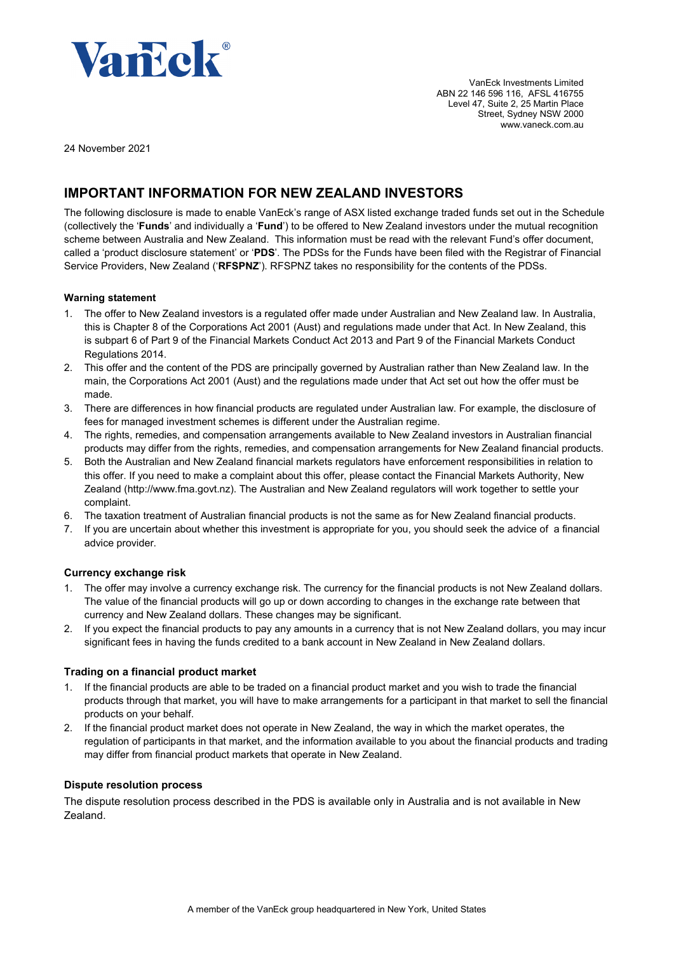

VanEck Investments Limited ABN 22 146 596 116, AFSL 416755 Level 47, Suite 2, 25 Martin Place Street, Sydney NSW 2000 www.vaneck.com.au

24 November 2021

# **IMPORTANT INFORMATION FOR NEW ZEALAND INVESTORS**

The following disclosure is made to enable VanEck's range of ASX listed exchange traded funds set out in the Schedule (collectively the '**Funds**' and individually a '**Fund**') to be offered to New Zealand investors under the mutual recognition scheme between Australia and New Zealand. This information must be read with the relevant Fund's offer document, called a 'product disclosure statement' or '**PDS**'. The PDSs for the Funds have been filed with the Registrar of Financial Service Providers, New Zealand ('**RFSPNZ**'). RFSPNZ takes no responsibility for the contents of the PDSs.

#### **Warning statement**

- 1. The offer to New Zealand investors is a regulated offer made under Australian and New Zealand law. In Australia, this is Chapter 8 of the Corporations Act 2001 (Aust) and regulations made under that Act. In New Zealand, this is subpart 6 of Part 9 of the Financial Markets Conduct Act 2013 and Part 9 of the Financial Markets Conduct Regulations 2014.
- 2. This offer and the content of the PDS are principally governed by Australian rather than New Zealand law. In the main, the Corporations Act 2001 (Aust) and the regulations made under that Act set out how the offer must be made.
- 3. There are differences in how financial products are regulated under Australian law. For example, the disclosure of fees for managed investment schemes is different under the Australian regime.
- 4. The rights, remedies, and compensation arrangements available to New Zealand investors in Australian financial products may differ from the rights, remedies, and compensation arrangements for New Zealand financial products.
- 5. Both the Australian and New Zealand financial markets regulators have enforcement responsibilities in relation to this offer. If you need to make a complaint about this offer, please contact the Financial Markets Authority, New Zealand [\(http://www.fma.govt.nz\)](http://www.fma.govt.nz/). The Australian and New Zealand regulators will work together to settle your complaint.
- 6. The taxation treatment of Australian financial products is not the same as for New Zealand financial products.
- 7. If you are uncertain about whether this investment is appropriate for you, you should seek the advice of a financial advice provider.

#### **Currency exchange risk**

- 1. The offer may involve a currency exchange risk. The currency for the financial products is not New Zealand dollars. The value of the financial products will go up or down according to changes in the exchange rate between that currency and New Zealand dollars. These changes may be significant.
- 2. If you expect the financial products to pay any amounts in a currency that is not New Zealand dollars, you may incur significant fees in having the funds credited to a bank account in New Zealand in New Zealand dollars.

#### **Trading on a financial product market**

- 1. If the financial products are able to be traded on a financial product market and you wish to trade the financial products through that market, you will have to make arrangements for a participant in that market to sell the financial products on your behalf.
- 2. If the financial product market does not operate in New Zealand, the way in which the market operates, the regulation of participants in that market, and the information available to you about the financial products and trading may differ from financial product markets that operate in New Zealand.

#### **Dispute resolution process**

The dispute resolution process described in the PDS is available only in Australia and is not available in New Zealand.